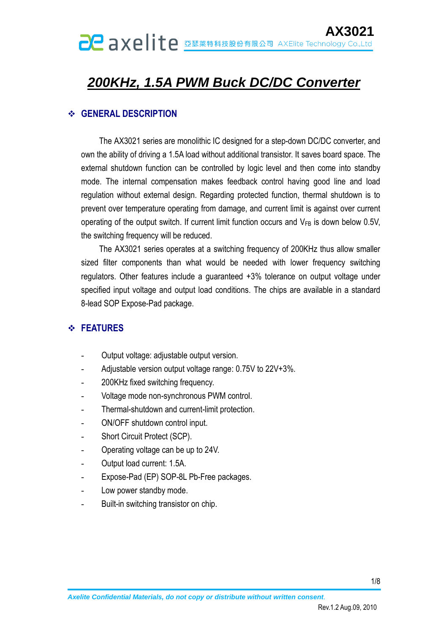## *200KHz, 1.5A PWM Buck DC/DC Converter*

#### **GENERAL DESCRIPTION**

The AX3021 series are monolithic IC designed for a step-down DC/DC converter, and own the ability of driving a 1.5A load without additional transistor. It saves board space. The external shutdown function can be controlled by logic level and then come into standby mode. The internal compensation makes feedback control having good line and load regulation without external design. Regarding protected function, thermal shutdown is to prevent over temperature operating from damage, and current limit is against over current operating of the output switch. If current limit function occurs and  $V_{FB}$  is down below 0.5V, the switching frequency will be reduced.

The AX3021 series operates at a switching frequency of 200KHz thus allow smaller sized filter components than what would be needed with lower frequency switching regulators. Other features include a guaranteed +3% tolerance on output voltage under specified input voltage and output load conditions. The chips are available in a standard 8-lead SOP Expose-Pad package.

#### **FEATURES**

- Output voltage: adjustable output version.
- Adjustable version output voltage range: 0.75V to 22V+3%.
- 200KHz fixed switching frequency.
- Voltage mode non-synchronous PWM control.
- Thermal-shutdown and current-limit protection.
- ON/OFF shutdown control input.
- Short Circuit Protect (SCP).
- Operating voltage can be up to 24V.
- Output load current: 1.5A.
- Expose-Pad (EP) SOP-8L Pb-Free packages.
- Low power standby mode.
- Built-in switching transistor on chip.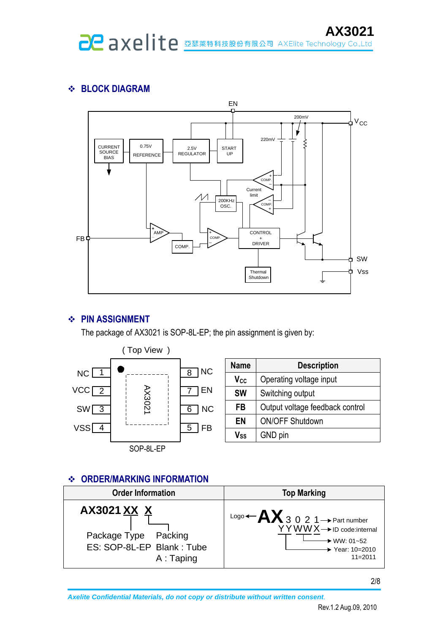#### **BLOCK DIAGRAM**



#### **PIN ASSIGNMENT**

The package of AX3021 is SOP-8L-EP; the pin assignment is given by:



| <b>Name</b>                | <b>Description</b>              |  |  |  |
|----------------------------|---------------------------------|--|--|--|
| V <sub>cc</sub>            | Operating voltage input         |  |  |  |
| <b>SW</b>                  | Switching output                |  |  |  |
| FB                         | Output voltage feedback control |  |  |  |
| EN                         | <b>ON/OFF Shutdown</b>          |  |  |  |
| $\mathsf{V}_{\mathsf{SS}}$ | GND pin                         |  |  |  |

#### **ORDER/MARKING INFORMATION**

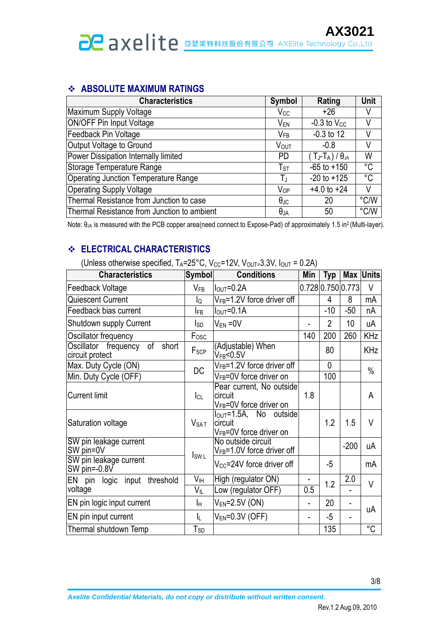#### **ABSOLUTE MAXIMUM RATINGS**

| <b>Characteristics</b>                      | <b>Symbol</b>          | Rating                               | Unit          |
|---------------------------------------------|------------------------|--------------------------------------|---------------|
| Maximum Supply Voltage                      | $V_{CC}$               | $+26$                                | V             |
| ON/OFF Pin Input Voltage                    | V <sub>EN</sub>        | $-0.3$ to $V_{CC}$                   |               |
| Feedback Pin Voltage                        | $V_{FB}$               | $-0.3$ to 12                         | V             |
| Output Voltage to Ground                    | <b>VOUT</b>            | $-0.8$                               | V             |
| Power Dissipation Internally limited        | <b>PD</b>              | (Tj-T <sub>A</sub> ) / $\theta_{JA}$ | W             |
| Storage Temperature Range                   | $T_{ST}$               | $-65$ to $+150$                      | °C            |
| <b>Operating Junction Temperature Range</b> | ТJ                     | $-20$ to $+125$                      | °C            |
| <b>Operating Supply Voltage</b>             | <b>V</b> <sub>OP</sub> | $+4.0$ to $+24$                      | V             |
| Thermal Resistance from Junction to case    | $\theta_{\text{JC}}$   | 20                                   | $\degree$ C/W |
| Thermal Resistance from Junction to ambient | $\theta_{JA}$          | 50                                   | $\degree$ C/W |

Note: θ<sub>JA</sub> is measured with the PCB copper area(need connect to Expose-Pad) of approximately 1.5 in<sup>2</sup> (Multi-layer).

#### **ELECTRICAL CHARACTERISTICS**

(Unless otherwise specified,  $T_A = 25^{\circ}$ C, V $_{CC} = 12$ V, V $_{OUT} = 3.3$ V,  $I_{OUT} = 0.2$ A)

| <b>Characteristics</b>                                 | <b>Symbol</b>    | <b>Conditions</b>                                                               | Min | <b>Typ</b>        |        | <b>Max Units</b> |
|--------------------------------------------------------|------------------|---------------------------------------------------------------------------------|-----|-------------------|--------|------------------|
| Feedback Voltage                                       | $V_{FB}$         | $IOUT=0.2A$                                                                     |     | 0.728 0.750 0.773 |        | V                |
| Quiescent Current                                      | lQ               | $V_{FB} = 1.2V$ force driver off                                                |     | 4                 | 8      | mA               |
| Feedback bias current                                  | <b>IFB</b>       | $IOUT=0.1A$                                                                     |     | $-10$             | $-50$  | nA               |
| Shutdown supply Current                                | Isp              | $V_{EN} = 0V$                                                                   |     | $\overline{2}$    | 10     | uA               |
| Oscillator frequency                                   | Fosc             |                                                                                 | 140 | 200               | 260    | <b>KHz</b>       |
| Oscillator frequency<br>of<br>short<br>circuit protect | F <sub>SCP</sub> | (Adjustable) When<br>V <sub>FB</sub> <0.5V                                      |     | 80                |        | <b>KHz</b>       |
| Max. Duty Cycle (ON)                                   | <b>DC</b>        | $V_{FB} = 1.2V$ force driver off                                                |     | $\mathbf{0}$      |        | $\frac{0}{0}$    |
| Min. Duty Cycle (OFF)                                  |                  | V <sub>FB</sub> =0V force driver on                                             |     | 100               |        |                  |
| <b>Current limit</b>                                   | $ _{CL}$         | Pear current, No outside<br>circuit<br>V <sub>FB</sub> =0V force driver on      | 1.8 |                   |        | A                |
| Saturation voltage                                     | V <sub>SAT</sub> | $I_{OUT} = 1.5A$ , No outside<br>circuit<br>V <sub>FB</sub> =0V force driver on |     | 1.2               | 1.5    | V                |
| SW pin leakage current<br>SW pin=0V                    | $I_{SWL}$        | No outside circuit<br>V <sub>FB</sub> =1.0V force driver off                    |     |                   | $-200$ | uA               |
| SW pin leakage current<br>SW pin= $-0.8V$              |                  | V <sub>CC</sub> =24V force driver off                                           |     | -5                |        | mA               |
| EN pin logic input threshold                           | V <sub>IH</sub>  | High (regulator ON)                                                             | 0.5 | 1.2               | 2.0    | $\vee$           |
| voltage                                                | VIL              | Low (regulator OFF)                                                             |     |                   |        |                  |
| EN pin logic input current                             | Iн               | $V_{EN}$ =2.5V (ON)                                                             | -   | 20                | ÷,     | uA               |
| EN pin input current                                   | IL.              | $V_{EN} = 0.3V$ (OFF)                                                           | -   | $-5$              |        |                  |
| Thermal shutdown Temp                                  | $T_{SD}$         |                                                                                 |     | 135               |        | $^{\circ}C$      |

3/8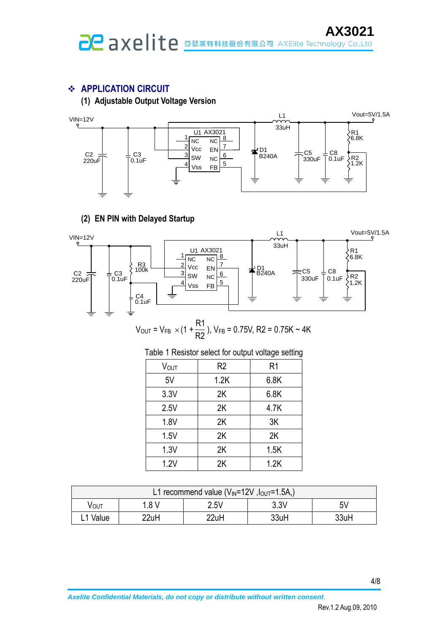#### **APPLICATION CIRCUIT**

**(1) Adjustable Output Voltage Version**



#### **(2) EN PIN with Delayed Startup**



$$
V_{\text{OUT}} = V_{\text{FB}} \times (1 + \frac{R1}{R2}), V_{\text{FB}} = 0.75V, R2 = 0.75K \sim 4K
$$

| Vout | R <sub>2</sub> | R1   |
|------|----------------|------|
| 5V   | 1.2K           | 6.8K |
| 3.3V | 2K             | 6.8K |
| 2.5V | 2K             | 4.7K |
| 1.8V | 2K             | 3K   |
| 1.5V | 2K             | 2K   |
| 1.3V | 2K             | 1.5K |
| 1.2V | 2K             | 1.2K |

Table 1 Resistor select for output voltage setting

| L1 recommend value ( $V_{\text{IN}}$ =12V, $I_{\text{OUT}}$ =1.5A,) |                                  |      |      |      |  |  |
|---------------------------------------------------------------------|----------------------------------|------|------|------|--|--|
| VOUT                                                                | 3.3V<br>$2.5\vee$<br>5۷<br>1.8 V |      |      |      |  |  |
| 1 Value                                                             | 22uH                             | 22uH | 33uH | 33uH |  |  |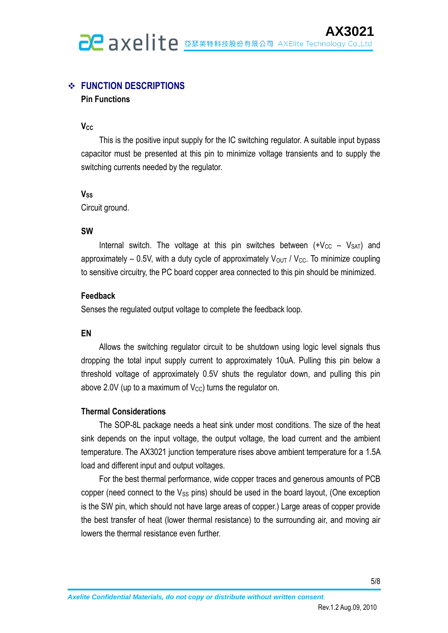#### **FUNCTION DESCRIPTIONS**

#### **Pin Functions**

**VCC**

This is the positive input supply for the IC switching regulator. A suitable input bypass capacitor must be presented at this pin to minimize voltage transients and to supply the switching currents needed by the regulator.

#### **VSS**

Circuit ground.

#### **SW**

Internal switch. The voltage at this pin switches between  $(+V_{CC} - V_{SAT})$  and approximately – 0.5V, with a duty cycle of approximately  $V_{\text{OUT}}/V_{\text{CC}}$ . To minimize coupling to sensitive circuitry, the PC board copper area connected to this pin should be minimized.

#### **Feedback**

Senses the regulated output voltage to complete the feedback loop.

#### **EN**

Allows the switching regulator circuit to be shutdown using logic level signals thus dropping the total input supply current to approximately 10uA. Pulling this pin below a threshold voltage of approximately 0.5V shuts the regulator down, and pulling this pin above 2.0V (up to a maximum of  $V_{\text{CC}}$ ) turns the regulator on.

#### **Thermal Considerations**

The SOP-8L package needs a heat sink under most conditions. The size of the heat sink depends on the input voltage, the output voltage, the load current and the ambient temperature. The AX3021 junction temperature rises above ambient temperature for a 1.5A load and different input and output voltages.

For the best thermal performance, wide copper traces and generous amounts of PCB copper (need connect to the  $V_{SS}$  pins) should be used in the board layout, (One exception is the SW pin, which should not have large areas of copper.) Large areas of copper provide the best transfer of heat (lower thermal resistance) to the surrounding air, and moving air lowers the thermal resistance even further.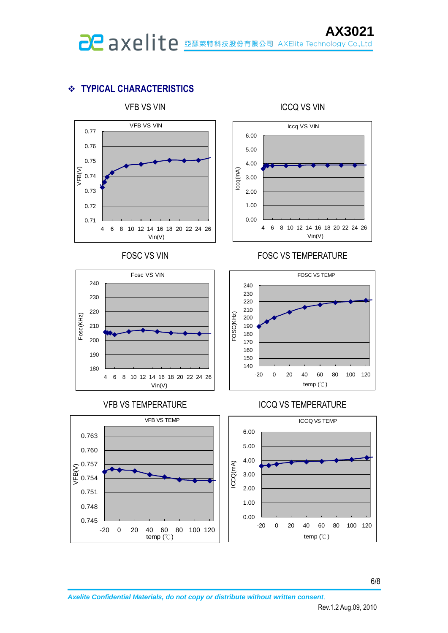## **TYPICAL CHARACTERISTICS**









#### FOSC VS VIN FOSC VS TEMPERATURE



#### VFB VS TEMPERATURE ICCQ VS TEMPERATURE

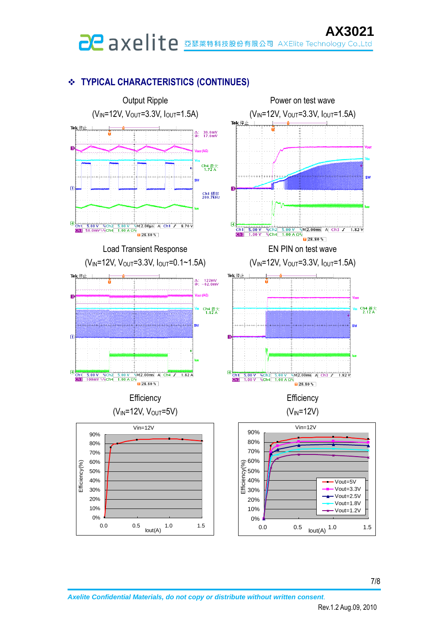# **AX3021**<br>**AX3021**.org RXED **TEC** AXELITE Technology Co.,Ltd

#### **TYPICAL CHARACTERISTICS (CONTINUES)**



7/8